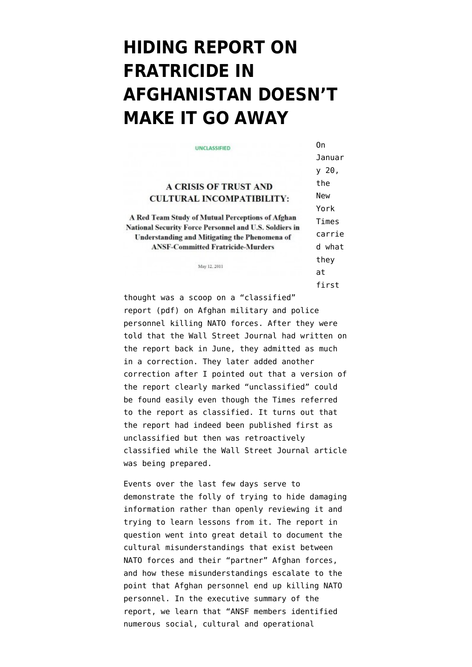## **[HIDING REPORT ON](https://www.emptywheel.net/2012/02/27/hiding-report-on-fratricide-doesnt-make-it-go-away-in-afghanistan/) [FRATRICIDE IN](https://www.emptywheel.net/2012/02/27/hiding-report-on-fratricide-doesnt-make-it-go-away-in-afghanistan/) [AFGHANISTAN DOESN'T](https://www.emptywheel.net/2012/02/27/hiding-report-on-fratricide-doesnt-make-it-go-away-in-afghanistan/) [MAKE IT GO AWAY](https://www.emptywheel.net/2012/02/27/hiding-report-on-fratricide-doesnt-make-it-go-away-in-afghanistan/)**

| UNCLASSIFIED                                                                                            | 0n         |
|---------------------------------------------------------------------------------------------------------|------------|
|                                                                                                         | Januar     |
|                                                                                                         | y 20,      |
| <b>A CRISIS OF TRUST AND</b>                                                                            | the        |
| <b>CULTURAL INCOMPATIBILITY:</b>                                                                        | <b>New</b> |
|                                                                                                         | York       |
| A Red Team Study of Mutual Perceptions of Afghan                                                        | Times      |
| National Security Force Personnel and U.S. Soldiers in<br>Understanding and Mitigating the Phenomena of | carrie     |
| <b>ANSF-Committed Fratricide-Murders</b>                                                                | d what     |
| May 12, 2011                                                                                            | they       |
|                                                                                                         | at         |
|                                                                                                         | first      |

thought was a scoop on a ["classified"](http://www.michaelyon-online.com/images/pdf/trust-incompatibility.pdf) [report](http://www.michaelyon-online.com/images/pdf/trust-incompatibility.pdf) (pdf) on Afghan military and police personnel killing NATO forces. After they were told that the [Wall Street Journal had written on](http://online.wsj.com/article/SB10001424052702303499204576389763385348524.html) [the report](http://online.wsj.com/article/SB10001424052702303499204576389763385348524.html) back in June, they admitted as much in a correction. They later added another correction [after I pointed out](http://www.emptywheel.net/2012/01/20/in-rush-to-transcribe-militarys-concern-on-why-we-cant-leave-afghanistan-did-ny-times-fact-check-classified-report/) that a version of the report clearly marked "unclassified" could be found easily even though the Times referred to the report as classified. It turns out that the report had indeed been published first as unclassified but then was [retroactively](http://www.emptywheel.net/2012/01/23/despite-metaphysical-impossibility-us-government-repeatedly-attempts-retroactive-classification/) [classified](http://www.emptywheel.net/2012/01/23/despite-metaphysical-impossibility-us-government-repeatedly-attempts-retroactive-classification/) while the Wall Street Journal article was being prepared.

Events over the last few days serve to demonstrate the folly of trying to hide damaging information rather than openly reviewing it and trying to learn lessons from it. The report in question went into great detail to document the cultural misunderstandings that exist between NATO forces and their "partner" Afghan forces, and how these misunderstandings escalate to the point that Afghan personnel end up killing NATO personnel. In the executive summary of the report, we learn that "ANSF members identified numerous social, cultural and operational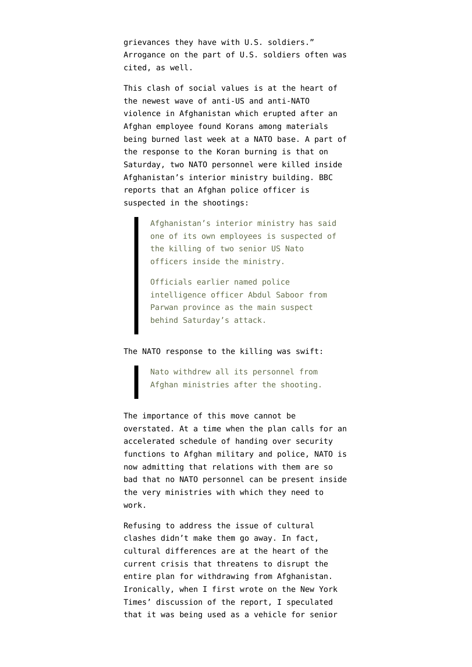grievances they have with U.S. soldiers." Arrogance on the part of U.S. soldiers often was cited, as well.

This clash of social values is at the heart of the newest wave of anti-US and anti-NATO violence in Afghanistan which erupted after an Afghan employee found Korans among materials being burned last week at a NATO base. A part of the response to the Koran burning is that on Saturday, two NATO personnel were killed inside Afghanistan's interior ministry building. [BBC](http://www.bbc.co.uk/news/world-asia-17169823) [reports](http://www.bbc.co.uk/news/world-asia-17169823) that an Afghan police officer is suspected in the shootings:

> Afghanistan's interior ministry has said one of its own employees is suspected of the killing of two senior US Nato officers inside the ministry.

Officials earlier named police intelligence officer Abdul Saboor from Parwan province as the main suspect behind Saturday's attack.

## The NATO response to the killing was swift:

Nato withdrew all its personnel from Afghan ministries after the shooting.

The importance of this move cannot be overstated. At a time when the plan calls for an accelerated schedule of handing over security functions to Afghan military and police, NATO is now admitting that relations with them are so bad that no NATO personnel can be present inside the very ministries with which they need to work.

Refusing to address the issue of cultural clashes didn't make them go away. In fact, cultural differences are at the heart of the current crisis that threatens to disrupt the entire plan for withdrawing from Afghanistan. Ironically, when I first wrote on the New York Times' discussion of the report, I speculated that it was being used as a vehicle for senior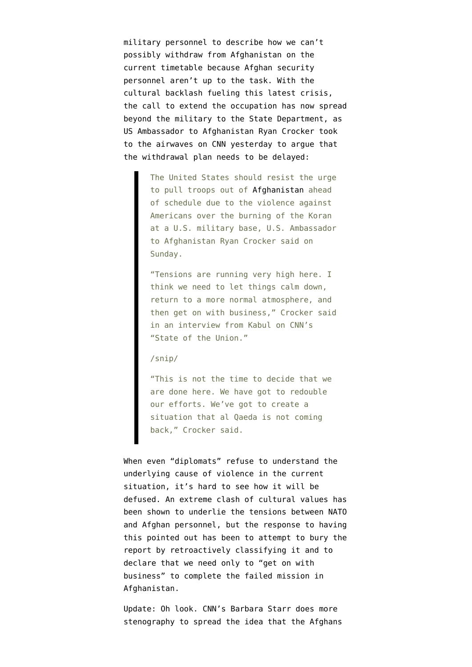military personnel to describe how we can't possibly withdraw from Afghanistan on the current timetable because Afghan security personnel aren't up to the task. With the cultural backlash fueling this latest crisis, the call to extend the occupation has now spread beyond the military to the State Department, as US Ambassador to Afghanistan [Ryan Crocker took](http://www.reuters.com/article/2012/02/26/us-afghanistan-usa-idUSTRE81P0J620120226) [to the airwaves](http://www.reuters.com/article/2012/02/26/us-afghanistan-usa-idUSTRE81P0J620120226) on CNN yesterday to argue that the withdrawal plan needs to be delayed:

> The United States should resist the urge to pull troops out of [Afghanistan](http://www.reuters.com/places/afghanistan) ahead of schedule due to the violence against Americans over the burning of the Koran at a U.S. military base, U.S. Ambassador to Afghanistan Ryan Crocker said on Sunday.

> "Tensions are running very high here. I think we need to let things calm down, return to a more normal atmosphere, and then get on with business," Crocker said in an interview from Kabul on CNN's "State of the Union."

## /snip/

"This is not the time to decide that we are done here. We have got to redouble our efforts. We've got to create a situation that al Qaeda is not coming back," Crocker said.

When even "diplomats" refuse to understand the underlying cause of violence in the current situation, it's hard to see how it will be defused. An extreme clash of cultural values has been shown to underlie the tensions between NATO and Afghan personnel, but the response to having this pointed out has been to attempt to bury the report by retroactively classifying it and to declare that we need only to "get on with business" to complete the failed mission in Afghanistan.

Update: Oh look. CNN's [Barbara Starr does more](http://security.blogs.cnn.com/2012/02/26/afghan-violence-exposing-lack-of-u-s-trust-in-afghanistan/) [stenography](http://security.blogs.cnn.com/2012/02/26/afghan-violence-exposing-lack-of-u-s-trust-in-afghanistan/) to spread the idea that the Afghans